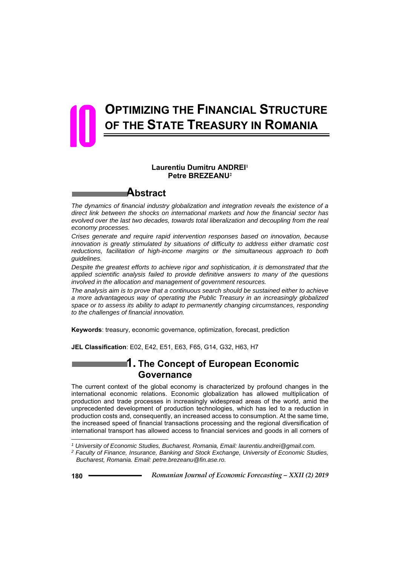# **OPTIMIZING THE FINANCIAL STRUCTURE OF THE STATE TREASURY IN ROMANIA** 10

#### **Laurentiu Dumitru ANDREI<sup>1</sup> Petre BREZEANU<sup>2</sup>**

## **Abstract**

*The dynamics of financial industry globalization and integration reveals the existence of a direct link between the shocks on international markets and how the financial sector has evolved over the last two decades, towards total liberalization and decoupling from the real economy processes.* 

*Crises generate and require rapid intervention responses based on innovation, because innovation is greatly stimulated by situations of difficulty to address either dramatic cost reductions, facilitation of high-income margins or the simultaneous approach to both guidelines.* 

*Despite the greatest efforts to achieve rigor and sophistication, it is demonstrated that the applied scientific analysis failed to provide definitive answers to many of the questions involved in the allocation and management of government resources.* 

*The analysis aim is to prove that a continuous search should be sustained either to achieve a more advantageous way of operating the Public Treasury in an increasingly globalized space or to assess its ability to adapt to permanently changing circumstances, responding to the challenges of financial innovation.* 

**Keywords**: treasury, economic governance, optimization, forecast, prediction

**JEL Classification**: E02, E42, E51, E63, F65, G14, G32, H63, H7

## **1. The Concept of European Economic Governance**

The current context of the global economy is characterized by profound changes in the international economic relations. Economic globalization has allowed multiplication of production and trade processes in increasingly widespread areas of the world, amid the unprecedented development of production technologies, which has led to a reduction in production costs and, consequently, an increased access to consumption. At the same time, the increased speed of financial transactions processing and the regional diversification of international transport has allowed access to financial services and goods in all corners of

*<sup>1</sup> University of Economic Studies, Bucharest, Romania, Email: laurentiu.andrei@gmail.com.*

*<sup>2</sup> Faculty of Finance, Insurance, Banking and Stock Exchange, University of Economic Studies, Bucharest, Romania. Email: petre.brezeanu@fin.ase.ro.*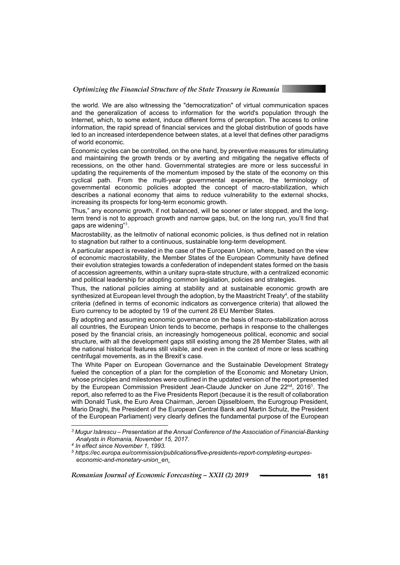the world. We are also witnessing the "democratization" of virtual communication spaces and the generalization of access to information for the world's population through the Internet, which, to some extent, induce different forms of perception. The access to online information, the rapid spread of financial services and the global distribution of goods have led to an increased interdependence between states, at a level that defines other paradigms of world economic.

Economic cycles can be controlled, on the one hand, by preventive measures for stimulating and maintaining the growth trends or by averting and mitigating the negative effects of recessions, on the other hand. Governmental strategies are more or less successful in updating the requirements of the momentum imposed by the state of the economy on this cyclical path. From the multi-year governmental experience, the terminology of governmental economic policies adopted the concept of macro-stabilization, which describes a national economy that aims to reduce vulnerability to the external shocks, increasing its prospects for long-term economic growth.

Thus," any economic growth, if not balanced, will be sooner or later stopped, and the longterm trend is not to approach growth and narrow gaps, but, on the long run, you'll find that gaps are widening"<sup>3</sup>.

Macrostability, as the leitmotiv of national economic policies, is thus defined not in relation to stagnation but rather to a continuous, sustainable long-term development.

A particular aspect is revealed in the case of the European Union, where, based on the view of economic macrostability, the Member States of the European Community have defined their evolution strategies towards a confederation of independent states formed on the basis of accession agreements, within a unitary supra-state structure, with a centralized economic and political leadership for adopting common legislation, policies and strategies.

Thus, the national policies aiming at stability and at sustainable economic growth are synthesized at European level through the adoption, by the Maastricht Treaty $^4$ , of the stability criteria (defined in terms of economic indicators as convergence criteria) that allowed the Euro currency to be adopted by 19 of the current 28 EU Member States.

By adopting and assuming economic governance on the basis of macro-stabilization across all countries, the European Union tends to become, perhaps in response to the challenges posed by the financial crisis, an increasingly homogeneous political, economic and social structure, with all the development gaps still existing among the 28 Member States, with all the national historical features still visible, and even in the context of more or less scathing centrifugal movements, as in the Brexit's case.

The White Paper on European Governance and the Sustainable Development Strategy fueled the conception of a plan for the completion of the Economic and Monetary Union, whose principles and milestones were outlined in the updated version of the report presented by the European Commission President Jean-Claude Juncker on June 22<sup>nd</sup>, 2016<sup>5</sup>. The report, also referred to as the Five Presidents Report (because it is the result of collaboration with Donald Tusk, the Euro Area Chairman, Jeroen Diisselbloem, the Eurogroup President, Mario Draghi, the President of the European Central Bank and Martin Schulz, the President of the European Parliament) very clearly defines the fundamental purpose of the European

 $\overline{a}$ 

*Romanian Journal of Economic Forecasting – XXII (2) 2019* **181**

*<sup>3</sup> Mugur Isărescu – Presentation at the Annual Conference of the Association of Financial-Banking Analysts in Romania, November 15, 2017.*

*<sup>4</sup> In effect since November 1, 1993.*

*<sup>5</sup> https://ec.europa.eu/commission/publications/five-presidents-report-completing-europeseconomic-and-monetary-union\_en.*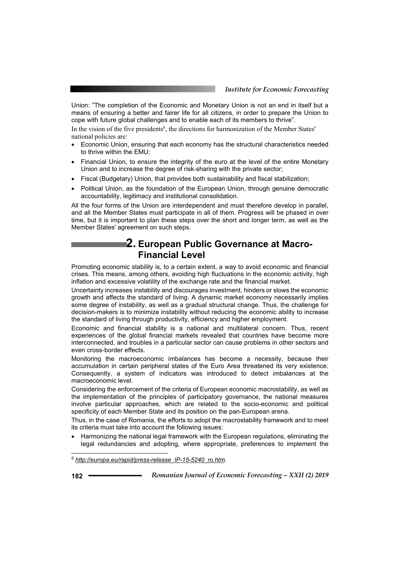Union: "The completion of the Economic and Monetary Union is not an end in itself but a means of ensuring a better and fairer life for all citizens, in order to prepare the Union to cope with future global challenges and to enable each of its members to thrive".

In the vision of the five presidents<sup>6</sup>, the directions for harmonization of the Member States' national policies are:

- Economic Union, ensuring that each economy has the structural characteristics needed to thrive within the EMU;
- Financial Union, to ensure the integrity of the euro at the level of the entire Monetary Union and to increase the degree of risk-sharing with the private sector;
- Fiscal (Budgetary) Union, that provides both sustainability and fiscal stabilization;
- Political Union, as the foundation of the European Union, through genuine democratic accountability, legitimacy and institutional consolidation.

All the four forms of the Union are interdependent and must therefore develop in parallel, and all the Member States must participate in all of them. Progress will be phased in over time, but it is important to plan these steps over the short and longer term, as well as the Member States' agreement on such steps.

## **2. European Public Governance at Macro-Financial Level**

Promoting economic stability is, to a certain extent, a way to avoid economic and financial crises. This means, among others, avoiding high fluctuations in the economic activity, high inflation and excessive volatility of the exchange rate and the financial market.

Uncertainty increases instability and discourages investment, hinders or slows the economic growth and affects the standard of living. A dynamic market economy necessarily implies some degree of instability, as well as a gradual structural change. Thus, the challenge for decision-makers is to minimize instability without reducing the economic ability to increase the standard of living through productivity, efficiency and higher employment.

Economic and financial stability is a national and multilateral concern. Thus, recent experiences of the global financial markets revealed that countries have become more interconnected, and troubles in a particular sector can cause problems in other sectors and even cross-border effects.

Monitoring the macroeconomic imbalances has become a necessity, because their accumulation in certain peripheral states of the Euro Area threatened its very existence. Consequently, a system of indicators was introduced to detect imbalances at the macroeconomic level.

Considering the enforcement of the criteria of European economic macrostability, as well as the implementation of the principles of participatory governance, the national measures involve particular approaches, which are related to the socio-economic and political specificity of each Member State and its position on the pan-European arena.

Thus, in the case of Romania, the efforts to adopt the macrostability framework and to meet its criteria must take into account the following issues:

 Harmonizing the national legal framework with the European regulations, eliminating the legal redundancies and adopting, where appropriate, preferences to implement the

*6 http://europa.eu/rapid/press-release\_IP-15-5240\_ro.htm.* 

 $\overline{a}$ 

**182** *Romanian Journal of Economic Forecasting – XXII (2) 2019*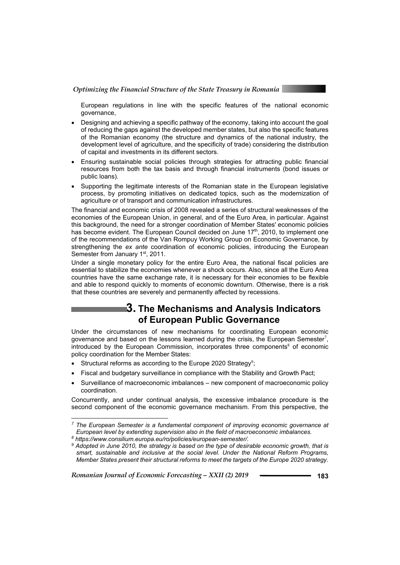

European regulations in line with the specific features of the national economic governance,

- Designing and achieving a specific pathway of the economy, taking into account the goal of reducing the gaps against the developed member states, but also the specific features of the Romanian economy (the structure and dynamics of the national industry, the development level of agriculture, and the specificity of trade) considering the distribution of capital and investments in its different sectors.
- Ensuring sustainable social policies through strategies for attracting public financial resources from both the tax basis and through financial instruments (bond issues or public loans).
- Supporting the legitimate interests of the Romanian state in the European legislative process, by promoting initiatives on dedicated topics, such as the modernization of agriculture or of transport and communication infrastructures.

The financial and economic crisis of 2008 revealed a series of structural weaknesses of the economies of the European Union, in general, and of the Euro Area, in particular. Against this background, the need for a stronger coordination of Member States' economic policies has become evident. The European Council decided on June 17<sup>th</sup>, 2010, to implement one of the recommendations of the Van Rompuy Working Group on Economic Governance, by strengthening the *ex ante* coordination of economic policies, introducing the European Semester from January 1<sup>st</sup>, 2011.

Under a single monetary policy for the entire Euro Area, the national fiscal policies are essential to stabilize the economies whenever a shock occurs. Also, since all the Euro Area countries have the same exchange rate, it is necessary for their economies to be flexible and able to respond quickly to moments of economic downturn. Otherwise, there is a risk that these countries are severely and permanently affected by recessions.

# **3. The Mechanisms and Analysis Indicators of European Public Governance**

Under the circumstances of new mechanisms for coordinating European economic governance and based on the lessons learned during the crisis, the European Semester<sup>7</sup>, introduced by the European Commission, incorporates three components $<sup>8</sup>$  of economic</sup> policy coordination for the Member States:

- Structural reforms as according to the Europe 2020 Strategy<sup>9</sup>;
- Fiscal and budgetary surveillance in compliance with the Stability and Growth Pact;
- Surveillance of macroeconomic imbalances new component of macroeconomic policy coordination.

Concurrently, and under continual analysis, the excessive imbalance procedure is the second component of the economic governance mechanism. From this perspective, the

 $\overline{a}$ 

*Romanian Journal of Economic Forecasting – XXII (2) 2019* – <del>– – – – – – – 183</del>

*<sup>7</sup> The European Semester is a fundamental component of improving economic governance at European level by extending supervision also in the field of macroeconomic imbalances.*

*<sup>8</sup> https://www.consilium.europa.eu/ro/policies/european-semester/.*

*<sup>9</sup> Adopted in June 2010, the strategy is based on the type of desirable economic growth, that is smart, sustainable and inclusive at the social level. Under the National Reform Programs, Member States present their structural reforms to meet the targets of the Europe 2020 strategy.*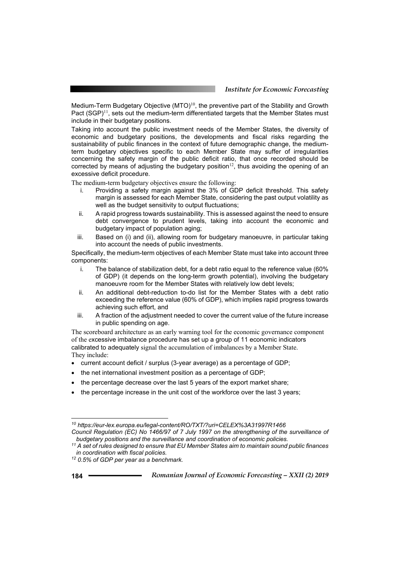Medium-Term Budgetary Objective  $(MTO)^{10}$ , the preventive part of the Stability and Growth Pact  $(SGP)^{11}$ , sets out the medium-term differentiated targets that the Member States must include in their budgetary positions.

Taking into account the public investment needs of the Member States, the diversity of economic and budgetary positions, the developments and fiscal risks regarding the sustainability of public finances in the context of future demographic change, the mediumterm budgetary objectives specific to each Member State may suffer of irregularities concerning the safety margin of the public deficit ratio, that once recorded should be corrected by means of adjusting the budgetary position<sup>12</sup>, thus avoiding the opening of an excessive deficit procedure.

The medium-term budgetary objectives ensure the following:

- i. Providing a safety margin against the 3% of GDP deficit threshold. This safety margin is assessed for each Member State, considering the past output volatility as well as the budget sensitivity to output fluctuations;
- ii. A rapid progress towards sustainability. This is assessed against the need to ensure debt convergence to prudent levels, taking into account the economic and budgetary impact of population aging;
- iii. Based on (i) and (ii), allowing room for budgetary manoeuvre, in particular taking into account the needs of public investments.

Specifically, the medium-term objectives of each Member State must take into account three components:

- i. The balance of stabilization debt, for a debt ratio equal to the reference value (60% of GDP) (it depends on the long-term growth potential), involving the budgetary manoeuvre room for the Member States with relatively low debt levels;
- ii. An additional debt-reduction to-do list for the Member States with a debt ratio exceeding the reference value (60% of GDP), which implies rapid progress towards achieving such effort, and
- iii. A fraction of the adjustment needed to cover the current value of the future increase in public spending on age.

The scoreboard architecture as an early warning tool for the economic governance component of the excessive imbalance procedure has set up a group of 11 economic indicators calibrated to adequately signal the accumulation of imbalances by a Member State. They include:

- current account deficit / surplus (3-year average) as a percentage of GDP;
- the net international investment position as a percentage of GDP;
- the percentage decrease over the last 5 years of the export market share;
- the percentage increase in the unit cost of the workforce over the last 3 years;

*<sup>10</sup> https://eur-lex.europa.eu/legal-content/RO/TXT/?uri=CELEX%3A31997R1466 Council Regulation (EC) No 1466/97 of 7 July 1997 on the strengthening of the surveillance of* 

<sup>&</sup>lt;sup>11</sup> A set of rules designed to ensure that EU Member States aim to maintain sound public finances *in coordination with fiscal policies.*

*<sup>12 0.5%</sup> of GDP per year as a benchmark.*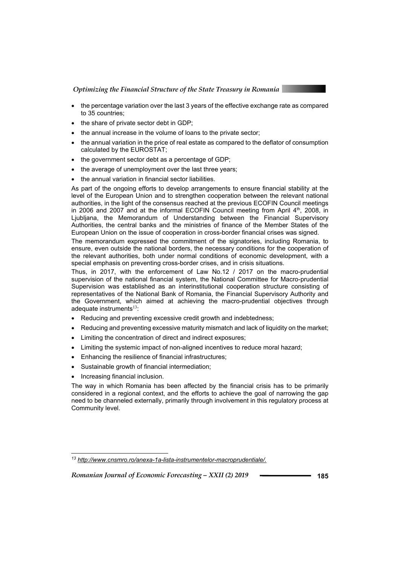- the percentage variation over the last 3 years of the effective exchange rate as compared to 35 countries;
- the share of private sector debt in GDP;
- the annual increase in the volume of loans to the private sector:
- the annual variation in the price of real estate as compared to the deflator of consumption calculated by the EUROSTAT;
- the government sector debt as a percentage of GDP;
- the average of unemployment over the last three years;
- the annual variation in financial sector liabilities.

As part of the ongoing efforts to develop arrangements to ensure financial stability at the level of the European Union and to strengthen cooperation between the relevant national authorities, in the light of the consensus reached at the previous ECOFIN Council meetings in 2006 and 2007 and at the informal ECOFIN Council meeting from April  $4<sup>th</sup>$ , 2008, in Ljubljana, the Memorandum of Understanding between the Financial Supervisory Authorities, the central banks and the ministries of finance of the Member States of the European Union on the issue of cooperation in cross-border financial crises was signed.

The memorandum expressed the commitment of the signatories, including Romania, to ensure, even outside the national borders, the necessary conditions for the cooperation of the relevant authorities, both under normal conditions of economic development, with a special emphasis on preventing cross-border crises, and in crisis situations.

Thus, in 2017, with the enforcement of Law No.12 / 2017 on the macro-prudential supervision of the national financial system, the National Committee for Macro-prudential Supervision was established as an interinstitutional cooperation structure consisting of representatives of the National Bank of Romania, the Financial Supervisory Authority and the Government, which aimed at achieving the macro-prudential objectives through adequate instruments $13$ :

- Reducing and preventing excessive credit growth and indebtedness;
- Reducing and preventing excessive maturity mismatch and lack of liquidity on the market;
- Limiting the concentration of direct and indirect exposures;
- Limiting the systemic impact of non-aligned incentives to reduce moral hazard;
- Enhancing the resilience of financial infrastructures;
- Sustainable growth of financial intermediation;
- **Increasing financial inclusion.**

 $\overline{a}$ 

The way in which Romania has been affected by the financial crisis has to be primarily considered in a regional context, and the efforts to achieve the goal of narrowing the gap need to be channeled externally, primarily through involvement in this regulatory process at Community level.

*Romanian Journal of Economic Forecasting – XXII (2) 2019* – <del>– – – – – – – 185</del>

*<sup>13</sup> http://www.cnsmro.ro/anexa-1a-lista-instrumentelor-macroprudentiale/.*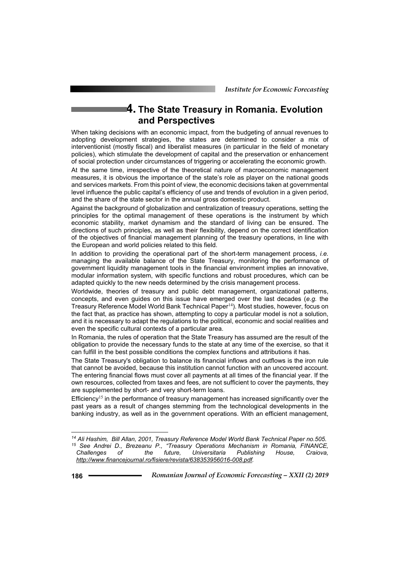# **4. The State Treasury in Romania. Evolution and Perspectives**

When taking decisions with an economic impact, from the budgeting of annual revenues to adopting development strategies, the states are determined to consider a mix of interventionist (mostly fiscal) and liberalist measures (in particular in the field of monetary policies), which stimulate the development of capital and the preservation or enhancement of social protection under circumstances of triggering or accelerating the economic growth.

At the same time, irrespective of the theoretical nature of macroeconomic management measures, it is obvious the importance of the state's role as player on the national goods and services markets. From this point of view, the economic decisions taken at governmental level influence the public capital's efficiency of use and trends of evolution in a given period, and the share of the state sector in the annual gross domestic product.

Against the background of globalization and centralization of treasury operations, setting the principles for the optimal management of these operations is the instrument by which economic stability, market dynamism and the standard of living can be ensured. The directions of such principles, as well as their flexibility, depend on the correct identification of the objectives of financial management planning of the treasury operations, in line with the European and world policies related to this field.

In addition to providing the operational part of the short-term management process, *i.e.* managing the available balance of the State Treasury, monitoring the performance of government liquidity management tools in the financial environment implies an innovative, modular information system, with specific functions and robust procedures, which can be adapted quickly to the new needs determined by the crisis management process.

Worldwide, theories of treasury and public debt management, organizational patterns, concepts, and even guides on this issue have emerged over the last decades (*e.g.* the Treasury Reference Model World Bank Technical Paper<sup>14</sup>). Most studies, however, focus on the fact that, as practice has shown, attempting to copy a particular model is not a solution, and it is necessary to adapt the regulations to the political, economic and social realities and even the specific cultural contexts of a particular area.

In Romania, the rules of operation that the State Treasury has assumed are the result of the obligation to provide the necessary funds to the state at any time of the exercise, so that it can fulfill in the best possible conditions the complex functions and attributions it has.

The State Treasury's obligation to balance its financial inflows and outflows is the iron rule that cannot be avoided, because this institution cannot function with an uncovered account. The entering financial flows must cover all payments at all times of the financial year. If the own resources, collected from taxes and fees, are not sufficient to cover the payments, they are supplemented by short- and very short-term loans.

Efficiency<sup>15</sup> in the performance of treasury management has increased significantly over the past years as a result of changes stemming from the technological developments in the banking industry, as well as in the government operations. With an efficient management,

*<sup>14</sup> Ali Hashim, Bill Allan, 2001, Treasury Reference Model World Bank Technical Paper no.505. 15 See Andrei D., Brezeanu P., "Treasury Operations Mechanism in Romania, FINANCE,*  of the future. Universitaria Publishing House, Craiova, *http://www.financejournal.ro/fisiere/revista/638353956016-008.pdf.*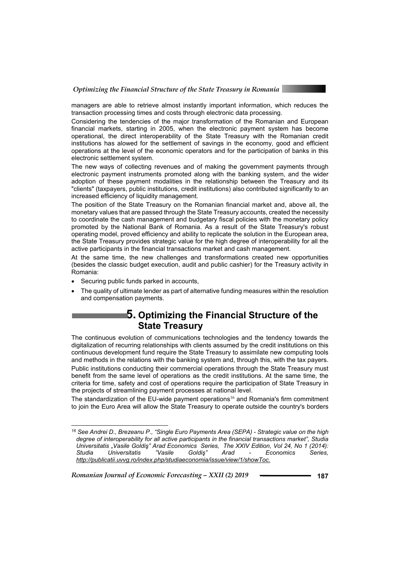

managers are able to retrieve almost instantly important information, which reduces the transaction processing times and costs through electronic data processing.

Considering the tendencies of the major transformation of the Romanian and European financial markets, starting in 2005, when the electronic payment system has become operational, the direct interoperability of the State Treasury with the Romanian credit institutions has alowed for the settlement of savings in the economy, good and efficient operations at the level of the economic operators and for the participation of banks in this electronic settlement system.

The new ways of collecting revenues and of making the government payments through electronic payment instruments promoted along with the banking system, and the wider adoption of these payment modalities in the relationship between the Treasury and its "clients" (taxpayers, public institutions, credit institutions) also contributed significantly to an increased efficiency of liquidity management.

The position of the State Treasury on the Romanian financial market and, above all, the monetary values that are passed through the State Treasury accounts, created the necessity to coordinate the cash management and budgetary fiscal policies with the monetary policy promoted by the National Bank of Romania. As a result of the State Treasury's robust operating model, proved efficiency and ability to replicate the solution in the European area, the State Treasury provides strategic value for the high degree of interoperability for all the active participants in the financial transactions market and cash management.

At the same time, the new challenges and transformations created new opportunities (besides the classic budget execution, audit and public cashier) for the Treasury activity in Romania:

Securing public funds parked in accounts,

 $\overline{a}$ 

• The quality of ultimate lender as part of alternative funding measures within the resolution and compensation payments.

## **5. Optimizing the Financial Structure of the State Treasury**

The continuous evolution of communications technologies and the tendency towards the digitalization of recurring relationships with clients assumed by the credit institutions on this continuous development fund require the State Treasury to assimilate new computing tools and methods in the relations with the banking system and, through this, with the tax payers.

Public institutions conducting their commercial operations through the State Treasury must benefit from the same level of operations as the credit institutions. At the same time, the criteria for time, safety and cost of operations require the participation of State Treasury in the projects of streamlining payment processes at national level.

The standardization of the EU-wide payment operations<sup>16</sup> and Romania's firm commitment to join the Euro Area will allow the State Treasury to operate outside the country's borders

*Romanian Journal of Economic Forecasting – XXII (2) 2019* – <del>– – – – – – – 1</del>87

*<sup>16</sup> See Andrei D., Brezeanu P., "Single Euro Payments Area (SEPA) - Strategic value on the high degree of interoperability for all active participants in the financial transactions market", Studia Universitatis "Vasile Goldiş" Arad Economics Series, The XXIV Edition, Vol 24, No 1 (2014): Studia Universitatis "Vasile Goldiş" Arad - Economics Series, http://publicatii.uvvg.ro/index.php/studiaeconomia/issue/view/1/showToc.*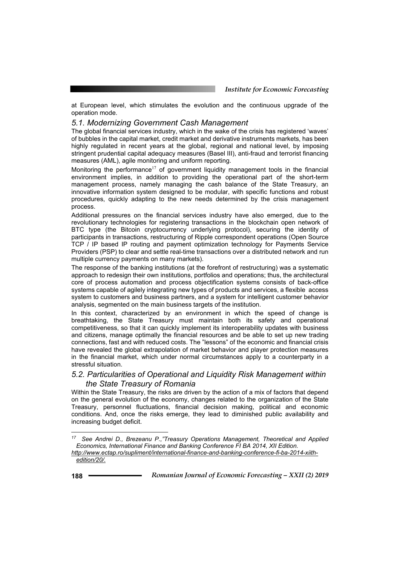at European level, which stimulates the evolution and the continuous upgrade of the operation mode.

#### *5.1. Modernizing Government Cash Management*

The global financial services industry, which in the wake of the crisis has registered 'waves' of bubbles in the capital market, credit market and derivative instruments markets, has been highly regulated in recent years at the global, regional and national level, by imposing stringent prudential capital adequacy measures (Basel III), anti-fraud and terrorist financing measures (AML), agile monitoring and uniform reporting.

Monitoring the performance<sup>17</sup> of government liquidity management tools in the financial environment implies, in addition to providing the operational part of the short-term management process, namely managing the cash balance of the State Treasury, an innovative information system designed to be modular, with specific functions and robust procedures, quickly adapting to the new needs determined by the crisis management process.

Additional pressures on the financial services industry have also emerged, due to the revolutionary technologies for registering transactions in the blockchain open network of BTC type (the Bitcoin cryptocurrency underlying protocol), securing the identity of participants in transactions, restructuring of Ripple correspondent operations (Open Source TCP / IP based IP routing and payment optimization technology for Payments Service Providers (PSP) to clear and settle real-time transactions over a distributed network and run multiple currency payments on many markets).

The response of the banking institutions (at the forefront of restructuring) was a systematic approach to redesign their own institutions, portfolios and operations; thus, the architectural core of process automation and process objectification systems consists of back-office systems capable of agilely integrating new types of products and services, a flexible access system to customers and business partners, and a system for intelligent customer behavior analysis, segmented on the main business targets of the institution.

In this context, characterized by an environment in which the speed of change is breathtaking, the State Treasury must maintain both its safety and operational competitiveness, so that it can quickly implement its interoperability updates with business and citizens, manage optimally the financial resources and be able to set up new trading connections, fast and with reduced costs. The "lessons" of the economic and financial crisis have revealed the global extrapolation of market behavior and player protection measures in the financial market, which under normal circumstances apply to a counterparty in a stressful situation.

#### *5.2. Particularities of Operational and Liquidity Risk Management within the State Treasury of Romania*

Within the State Treasury, the risks are driven by the action of a mix of factors that depend on the general evolution of the economy, changes related to the organization of the State Treasury, personnel fluctuations, financial decision making, political and economic conditions. And, once the risks emerge, they lead to diminished public availability and increasing budget deficit.

*<sup>17</sup> See Andrei D., Brezeanu P.,"Treasury Operations Management, Theoretical and Applied Economics, International Finance and Banking Conference FI BA 2014, XII Edition. http://www.ectap.ro/supliment/international-finance-and-banking-conference-fi-ba-2014-xiithedition/20/.*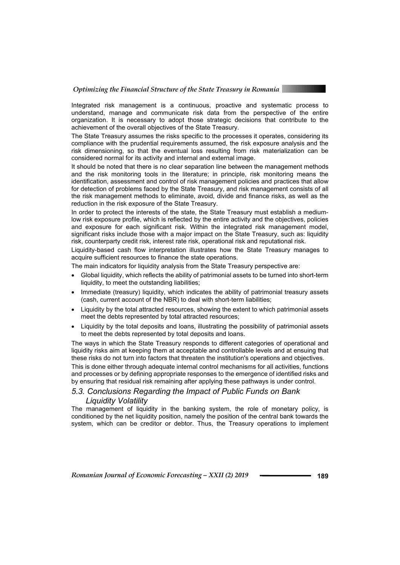Integrated risk management is a continuous, proactive and systematic process to understand, manage and communicate risk data from the perspective of the entire organization. It is necessary to adopt those strategic decisions that contribute to the achievement of the overall objectives of the State Treasury.

The State Treasury assumes the risks specific to the processes it operates, considering its compliance with the prudential requirements assumed, the risk exposure analysis and the risk dimensioning, so that the eventual loss resulting from risk materialization can be considered normal for its activity and internal and external image.

It should be noted that there is no clear separation line between the management methods and the risk monitoring tools in the literature; in principle, risk monitoring means the identification, assessment and control of risk management policies and practices that allow for detection of problems faced by the State Treasury, and risk management consists of all the risk management methods to eliminate, avoid, divide and finance risks, as well as the reduction in the risk exposure of the State Treasury.

In order to protect the interests of the state, the State Treasury must establish a mediumlow risk exposure profile, which is reflected by the entire activity and the objectives, policies and exposure for each significant risk. Within the integrated risk management model, significant risks include those with a major impact on the State Treasury, such as: liquidity risk, counterparty credit risk, interest rate risk, operational risk and reputational risk.

Liquidity-based cash flow interpretation illustrates how the State Treasury manages to acquire sufficient resources to finance the state operations.

The main indicators for liquidity analysis from the State Treasury perspective are:

- Global liquidity, which reflects the ability of patrimonial assets to be turned into short-term liquidity, to meet the outstanding liabilities;
- Immediate (treasury) liquidity, which indicates the ability of patrimonial treasury assets (cash, current account of the NBR) to deal with short-term liabilities;
- Liquidity by the total attracted resources, showing the extent to which patrimonial assets meet the debts represented by total attracted resources;
- Liquidity by the total deposits and loans, illustrating the possibility of patrimonial assets to meet the debts represented by total deposits and loans.

The ways in which the State Treasury responds to different categories of operational and liquidity risks aim at keeping them at acceptable and controllable levels and at ensuing that these risks do not turn into factors that threaten the institution's operations and objectives. This is done either through adequate internal control mechanisms for all activities, functions and processes or by defining appropriate responses to the emergence of identified risks and

## *5.3. Conclusions Regarding the Impact of Public Funds on Bank Liquidity Volatility*

by ensuring that residual risk remaining after applying these pathways is under control.

The management of liquidity in the banking system, the role of monetary policy, is conditioned by the net liquidity position, namely the position of the central bank towards the system, which can be creditor or debtor. Thus, the Treasury operations to implement

*Romanian Journal of Economic Forecasting – XXII (2) 2019* – <del>– – – – – – – 189</del>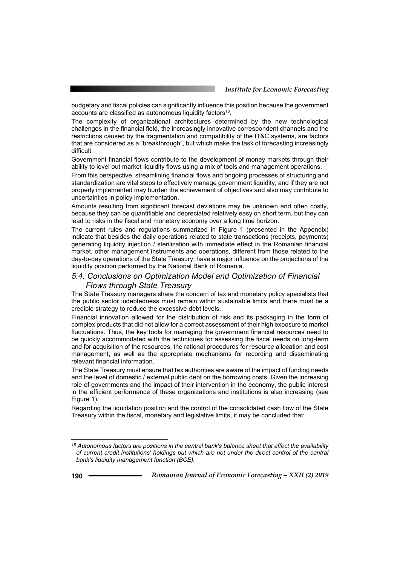budgetary and fiscal policies can significantly influence this position because the government accounts are classified as autonomous liquidity factors<sup>18</sup>.

The complexity of organizational architectures determined by the new technological challenges in the financial field, the increasingly innovative correspondent channels and the restrictions caused by the fragmentation and compatibility of the IT&C systems, are factors that are considered as a "breakthrough", but which make the task of forecasting increasingly difficult.

Government financial flows contribute to the development of money markets through their ability to level out market liquidity flows using a mix of tools and management operations.

From this perspective, streamlining financial flows and ongoing processes of structuring and standardization are vital steps to effectively manage government liquidity, and if they are not properly implemented may burden the achievement of objectives and also may contribute to uncertainties in policy implementation.

Amounts resulting from significant forecast deviations may be unknown and often costly, because they can be quantifiable and depreciated relatively easy on short term, but they can lead to risks in the fiscal and monetary economy over a long time horizon.

The current rules and regulations summarized in Figure 1 (presented in the Appendix) indicate that besides the daily operations related to state transactions (receipts, payments) generating liquidity injection / sterilization with immediate effect in the Romanian financial market, other management instruments and operations, different from those related to the day-to-day operations of the State Treasury, have a major influence on the projections of the liquidity position performed by the National Bank of Romania.

## *5.4. Conclusions on Optimization Model and Optimization of Financial Flows through State Treasury*

The State Treasury managers share the concern of tax and monetary policy specialists that the public sector indebtedness must remain within sustainable limits and there must be a credible strategy to reduce the excessive debt levels.

Financial innovation allowed for the distribution of risk and its packaging in the form of complex products that did not allow for a correct assessment of their high exposure to market fluctuations. Thus, the key tools for managing the government financial resources need to be quickly accommodated with the techniques for assessing the fiscal needs on long-term and for acquisition of the resources, the rational procedures for resource allocation and cost management, as well as the appropriate mechanisms for recording and disseminating relevant financial information.

The State Treasury must ensure that tax authorities are aware of the impact of funding needs and the level of domestic / external public debt on the borrowing costs. Given the increasing role of governments and the impact of their intervention in the economy, the public interest in the efficient performance of these organizations and institutions is also increasing (see Figure 1).

Regarding the liquidation position and the control of the consolidated cash flow of the State Treasury within the fiscal, monetary and legislative limits, it may be concluded that:

*<sup>18</sup> Autonomous factors are positions in the central bank's balance sheet that affect the availability of current credit institutions' holdings but which are not under the direct control of the central bank's liquidity management function (BCE).*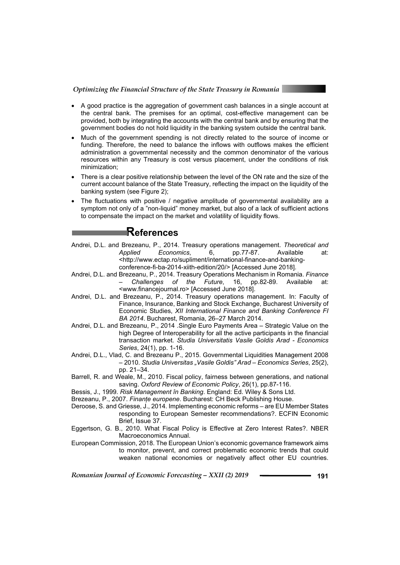

- A good practice is the aggregation of government cash balances in a single account at the central bank. The premises for an optimal, cost-effective management can be provided, both by integrating the accounts with the central bank and by ensuring that the government bodies do not hold liquidity in the banking system outside the central bank.
- Much of the government spending is not directly related to the source of income or funding. Therefore, the need to balance the inflows with outflows makes the efficient administration a governmental necessity and the common denominator of the various resources within any Treasury is cost versus placement, under the conditions of risk minimization;
- There is a clear positive relationship between the level of the ON rate and the size of the current account balance of the State Treasury, reflecting the impact on the liquidity of the banking system (see Figure 2);
- The fluctuations with positive / negative amplitude of governmental availability are a symptom not only of a "non-liquid" money market, but also of a lack of sufficient actions to compensate the impact on the market and volatility of liquidity flows.

# **References**

- Andrei, D.L. and Brezeanu, P., 2014. Treasury operations management. *Theoretical and Applied Economics*, 6, pp.77-87. Available at: <http://www.ectap.ro/supliment/international-finance-and-bankingconference-fi-ba-2014-xiith-edition/20/> [Accessed June 2018].
- Andrei, D.L. and Brezeanu, P., 2014. Treasury Operations Mechanism in Romania. *Finance – Challenges of the Future*, 16, pp.82-89. Available at: <www.financejournal.ro> [Accessed June 2018].
- Andrei, D.L. and Brezeanu, P., 2014. Treasury operations management. In: Faculty of Finance, Insurance, Banking and Stock Exchange, Bucharest University of Economic Studies, *XII International Finance and Banking Conference FI BA 2014*. Bucharest, Romania, 26–27 March 2014.
- Andrei, D.L. and Brezeanu, P., 2014 .Single Euro Payments Area Strategic Value on the high Degree of Interoperability for all the active participants in the financial transaction market. *Studia Universitatis Vasile Goldis Arad - Economics Series*, 24(1), pp. 1-16.
- Andrei, D.L., Vlad, C. and Brezeanu P., 2015. Governmental Liquidities Management 2008 – 2010. *Studia Universitas "Vasile Goldis" Arad – Economics Series*, 25(2), pp. 21–34.
- Barrell, R. and Weale, M., 2010. Fiscal policy, fairness between generations, and national saving. *Oxford Review of Economic Policy*, 26(1), pp.87-116.
- Bessis, J., 1999. *Risk Management în Banking*. England: Ed. Wiley & Sons Ltd.
- Brezeanu, P., 2007. *Finanțe europene*. Bucharest: CH Beck Publishing House.
- Deroose, S. and Griesse, J., 2014. Implementing economic reforms are EU Member States responding to European Semester recommendations?. ECFIN Economic Brief, Issue 37.
- Eggertson, G. B., 2010. What Fiscal Policy is Effective at Zero Interest Rates?. NBER Macroeconomics Annual.
- European Commission, 2018. The European Union's economic governance framework aims to monitor, prevent, and correct problematic economic trends that could weaken national economies or negatively affect other EU countries.

*Romanian Journal of Economic Forecasting – XXII (2) 2019* **191**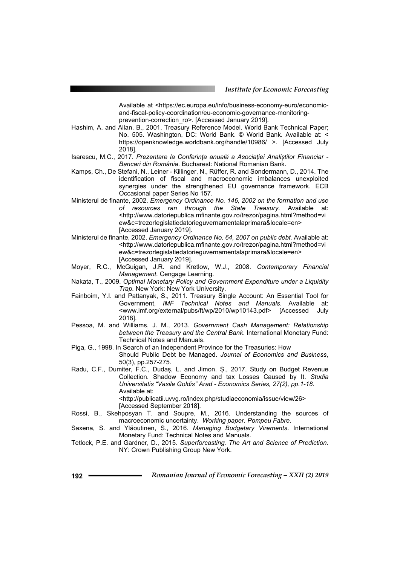Available at <https://ec.europa.eu/info/business-economy-euro/economicand-fiscal-policy-coordination/eu-economic-governance-monitoringprevention-correction\_ro>. [Accessed January 2019].

- Hashim, A. and Allan, B., 2001. Treasury Reference Model. World Bank Technical Paper; No. 505. Washington, DC: World Bank. © World Bank. Available at: < https://openknowledge.worldbank.org/handle/10986/ >. [Accessed July 2018].
- Isarescu, M.C., 2017. *Prezentare la Conferința anuală a Asociației Analiștilor Financiar Bancari din România*. Bucharest: National Romanian Bank.
- Kamps, Ch., De Stefani, N., Leiner Killinger, N., Rüffer, R. and Sondermann, D., 2014. The identification of fiscal and macroeconomic imbalances unexploited synergies under the strengthened EU governance framework. ECB Occasional paper Series No 157.
- Ministerul de finante, 2002. *Emergency Ordinance No. 146, 2002 on the formation and use of resources ran through the State Treasury.* Available at: <http://www.datoriepublica.mfinante.gov.ro/trezor/pagina.html?method=vi ew&c=trezorlegislatiedatorieguvernamentalaprimara&locale=en> [Accessed January 2019].
- Ministerul de finante, 2002. *Emergency Ordinance No. 64, 2007 on public debt.* Available at: <http://www.datoriepublica.mfinante.gov.ro/trezor/pagina.html?method=vi ew&c=trezorlegislatiedatorieguvernamentalaprimara&locale=en> [Accessed January 2019].
- Moyer, R.C., McGuigan, J.R. and Kretlow, W.J., 2008. *Contemporary Financial Management.* Cengage Learning.
- Nakata, T., 2009. *Optimal Monetary Policy and Government Expenditure under a Liquidity Trap.* New York: New York University.
- Fainboim, Y.I. and Pattanyak, S., 2011. Treasury Single Account: An Essential Tool for Government, *IMF Technical Notes and Manuals*. Available at: <www.imf.org/external/pubs/ft/wp/2010/wp10143.pdf> [Accessed July 2018].
- Pessoa, M. and Williams, J. M., 2013. *Government Cash Management: Relationship between the Treasury and the Central Bank*. International Monetary Fund: Technical Notes and Manuals.
- Piga, G., 1998. In Search of an Independent Province for the Treasuries: How
	- Should Public Debt be Managed. *Journal of Economics and Business*, 50(3), pp.257-275.
- Radu, C.F., Dumiter, F.C., Dudaș, L. and Jimon. Ș., 2017. Study on Budget Revenue Collection. Shadow Economy and tax Losses Caused by It. *Studia Universitatis "Vasile Goldis" Arad - Economics Series, 27(2), pp.1-18.*  Available at: <http://publicatii.uvvg.ro/index.php/studiaeconomia/issue/view/26> [Accessed September 2018].
- Rossi, B., Skehposyan T. and Soupre, M., 2016. Understanding the sources of macroeconomic uncertainty. *Working paper. Pompeu Fabre*.
- Saxena, S. and Yläoutinen, S., 2016. *Managing Budgetary Virements*. International Monetary Fund: Technical Notes and Manuals.
- Tetlock, P.E. and Gardner, D., 2015. *Superforcasting. The Art and Science of Prediction*. NY: Crown Publishing Group New York.

**192** *Romanian Journal of Economic Forecasting – XXII (2) 2019*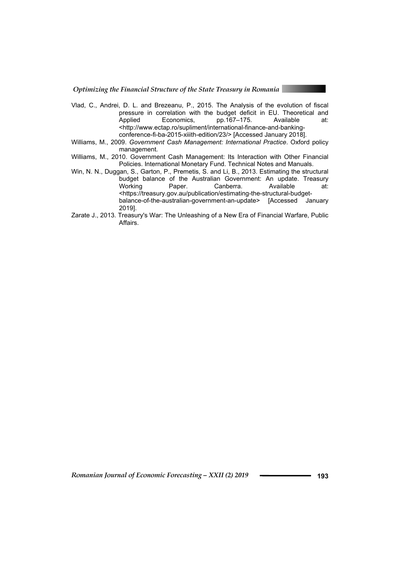

- Vlad, C., Andrei, D. L. and Brezeanu, P., 2015. The Analysis of the evolution of fiscal pressure in correlation with the budget deficit in EU. Theoretical and Applied Economics, pp.167–175. Available at: <http://www.ectap.ro/supliment/international-finance-and-bankingconference-fi-ba-2015-xiiith-edition/23/> [Accessed January 2018].
- Williams, M., 2009. *Government Cash Management: International Practice*. Oxford policy management.
- Williams, M., 2010. Government Cash Management: Its Interaction with Other Financial Policies. International Monetary Fund. Technical Notes and Manuals.
- Win, N. N., Duggan, S., Garton, P., Premetis, S. and Li, B., 2013. Estimating the structural budget balance of the Australian Government: An update. Treasury Working Paper. Canberra. Available at: <https://treasury.gov.au/publication/estimating-the-structural-budgetbalance-of-the-australian-government-an-update> [Accessed January 2019].
- Zarate J., 2013. Treasury's War: The Unleashing of a New Era of Financial Warfare, Public Affairs.

*Romanian Journal of Economic Forecasting – XXII (2) 2019* – **193**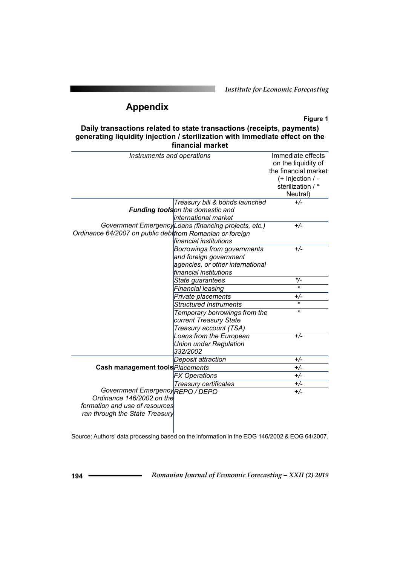*Institute for Economic Forecasting*

# **Appendix**

#### **Figure 1**

**Daily transactions related to state transactions (receipts, payments) generating liquidity injection / sterilization with immediate effect on the financial market** 

| Instruments and operations                                |                                                       | Immediate effects<br>on the liquidity of<br>the financial market<br>(+ Injection / -<br>sterilization /*<br>Neutral) |
|-----------------------------------------------------------|-------------------------------------------------------|----------------------------------------------------------------------------------------------------------------------|
|                                                           | Treasury bill & bonds launched                        | $+/-$                                                                                                                |
|                                                           | <b>Funding toolson the domestic and</b>               |                                                                                                                      |
|                                                           | international market                                  |                                                                                                                      |
|                                                           | Government Emergency Loans (financing projects, etc.) | $+/-$                                                                                                                |
| Ordinance 64/2007 on public debt from Romanian or foreign |                                                       |                                                                                                                      |
|                                                           | financial institutions                                |                                                                                                                      |
|                                                           | Borrowings from governments                           | $+/-$                                                                                                                |
|                                                           | and foreign government                                |                                                                                                                      |
|                                                           | agencies, or other international                      |                                                                                                                      |
|                                                           | financial institutions                                |                                                                                                                      |
|                                                           | State guarantees                                      | */-                                                                                                                  |
|                                                           | Financial leasing                                     |                                                                                                                      |
|                                                           | Private placements                                    | $+/-$                                                                                                                |
|                                                           | <b>Structured Instruments</b>                         | $\star$                                                                                                              |
|                                                           | Temporary borrowings from the                         | $\overline{\ast}$                                                                                                    |
|                                                           | current Treasury State                                |                                                                                                                      |
|                                                           | Treasury account (TSA)                                |                                                                                                                      |
|                                                           | Loans from the European                               | $+/-$                                                                                                                |
|                                                           | <b>Union under Regulation</b>                         |                                                                                                                      |
|                                                           | 332/2002                                              |                                                                                                                      |
|                                                           | Deposit attraction                                    | $+/-$                                                                                                                |
| Cash management tools Placements                          |                                                       | $+/-$                                                                                                                |
|                                                           | <b>FX Operations</b>                                  | $+/-$                                                                                                                |
|                                                           | Treasury certificates                                 | $+/-$                                                                                                                |
| Government EmergencyREPO / DEPO                           |                                                       | $+/-$                                                                                                                |
| Ordinance 146/2002 on the                                 |                                                       |                                                                                                                      |
| formation and use of resources                            |                                                       |                                                                                                                      |
| ran through the State Treasury                            |                                                       |                                                                                                                      |
|                                                           |                                                       |                                                                                                                      |
|                                                           |                                                       |                                                                                                                      |

Source: Authors' data processing based on the information in the EOG 146/2002 & EOG 64/2007.

**194** *Romanian Journal of Economic Forecasting – XXII (2) 2019*